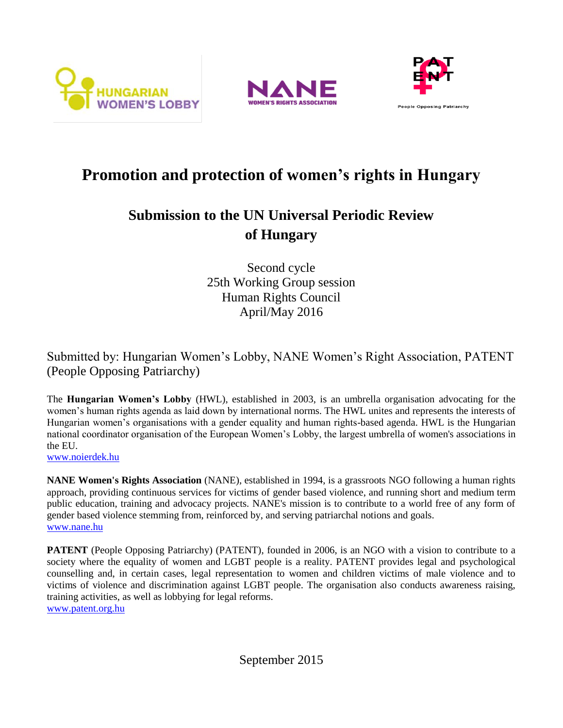





# **Promotion and protection of women's rights in Hungary**

# **Submission to the UN Universal Periodic Review of Hungary**

Second cycle 25th Working Group session Human Rights Council April/May 2016

Submitted by: Hungarian Women's Lobby, NANE Women's Right Association, PATENT (People Opposing Patriarchy)

The **Hungarian Women's Lobby** (HWL), established in 2003, is an umbrella organisation advocating for the women's human rights agenda as laid down by international norms. The HWL unites and represents the interests of Hungarian women's organisations with a gender equality and human rights-based agenda. HWL is the Hungarian national coordinator organisation of the European Women's Lobby, the largest umbrella of women's associations in the EU.

[www.noierdek.hu](http://www.noierdek.hu/)

**NANE Women's Rights Association** (NANE), established in 1994, is a grassroots NGO following a human rights approach, providing continuous services for victims of gender based violence, and running short and medium term public education, training and advocacy projects. NANE's mission is to contribute to a world free of any form of gender based violence stemming from, reinforced by, and serving patriarchal notions and goals. [www.nane.hu](http://www.nane.hu/)

**PATENT** (People Opposing Patriarchy) (PATENT), founded in 2006, is an NGO with a vision to contribute to a society where the equality of women and LGBT people is a reality. PATENT provides legal and psychological counselling and, in certain cases, legal representation to women and children victims of male violence and to victims of violence and discrimination against LGBT people. The organisation also conducts awareness raising, training activities, as well as lobbying for legal reforms. [www.patent.org.hu](http://www.patent.org.hu/)

September 2015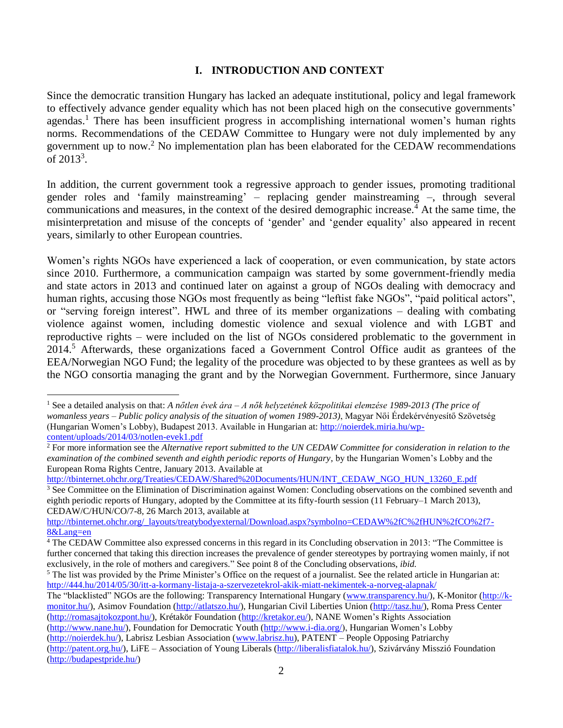## **I. INTRODUCTION AND CONTEXT**

Since the democratic transition Hungary has lacked an adequate institutional, policy and legal framework to effectively advance gender equality which has not been placed high on the consecutive governments' agendas.<sup>1</sup> There has been insufficient progress in accomplishing international women's human rights norms. Recommendations of the CEDAW Committee to Hungary were not duly implemented by any government up to now.<sup>2</sup> No implementation plan has been elaborated for the CEDAW recommendations of  $2013^3$ .

In addition, the current government took a regressive approach to gender issues, promoting traditional gender roles and 'family mainstreaming' – replacing gender mainstreaming –, through several communications and measures, in the context of the desired demographic increase.<sup>4</sup> At the same time, the misinterpretation and misuse of the concepts of 'gender' and 'gender equality' also appeared in recent years, similarly to other European countries.

Women's rights NGOs have experienced a lack of cooperation, or even communication, by state actors since 2010. Furthermore, a communication campaign was started by some government-friendly media and state actors in 2013 and continued later on against a group of NGOs dealing with democracy and human rights, accusing those NGOs most frequently as being "leftist fake NGOs", "paid political actors", or "serving foreign interest". HWL and three of its member organizations – dealing with combating violence against women, including domestic violence and sexual violence and with LGBT and reproductive rights – were included on the list of NGOs considered problematic to the government in 2014.<sup>5</sup> Afterwards, these organizations faced a Government Control Office audit as grantees of the EEA/Norwegian NGO Fund; the legality of the procedure was objected to by these grantees as well as by the NGO consortia managing the grant and by the Norwegian Government. Furthermore, since January

 $\overline{a}$ 

[http://tbinternet.ohchr.org/Treaties/CEDAW/Shared%20Documents/HUN/INT\\_CEDAW\\_NGO\\_HUN\\_13260\\_E.pdf](http://tbinternet.ohchr.org/Treaties/CEDAW/Shared%20Documents/HUN/INT_CEDAW_NGO_HUN_13260_E.pdf)

<sup>3</sup> See Committee on the Elimination of Discrimination against Women: Concluding observations on the combined seventh and eighth periodic reports of Hungary, adopted by the Committee at its fifty-fourth session (11 February–1 March 2013), CEDAW/C/HUN/CO/7-8, 26 March 2013, available at

[http://tbinternet.ohchr.org/\\_layouts/treatybodyexternal/Download.aspx?symbolno=CEDAW%2fC%2fHUN%2fCO%2f7-](http://tbinternet.ohchr.org/_layouts/treatybodyexternal/Download.aspx?symbolno=CEDAW%2fC%2fHUN%2fCO%2f7-8&Lang=en) [8&Lang=en](http://tbinternet.ohchr.org/_layouts/treatybodyexternal/Download.aspx?symbolno=CEDAW%2fC%2fHUN%2fCO%2f7-8&Lang=en)

<sup>1</sup> See a detailed analysis on that: *A nőtlen évek ára – A nők helyzetének közpolitikai elemzése 1989-2013 (The price of womanless years – Public policy analysis of the situation of women 1989-2013)*, Magyar Női Érdekérvényesítő Szövetség (Hungarian Women's Lobby), Budapest 2013. Available in Hungarian at: [http://noierdek.miria.hu/wp](http://noierdek.miria.hu/wp-content/uploads/2014/03/notlen-evek1.pdf)[content/uploads/2014/03/notlen-evek1.pdf](http://noierdek.miria.hu/wp-content/uploads/2014/03/notlen-evek1.pdf) 

<sup>2</sup> For more information see the *Alternative report submitted to the UN CEDAW Committee for consideration in relation to the examination of the combined seventh and eighth periodic reports of Hungary*, by the Hungarian Women's Lobby and the European Roma Rights Centre, January 2013. Available at

<sup>&</sup>lt;sup>4</sup> The CEDAW Committee also expressed concerns in this regard in its Concluding observation in 2013: "The Committee is further concerned that taking this direction increases the prevalence of gender stereotypes by portraying women mainly, if not exclusively, in the role of mothers and caregivers." See point 8 of the Concluding observations, *ibid.*

 $<sup>5</sup>$  The list was provided by the Prime Minister's Office on the request of a journalist. See the related article in Hungarian at:</sup> <http://444.hu/2014/05/30/itt-a-kormany-listaja-a-szervezetekrol-akik-miatt-nekimentek-a-norveg-alapnak/>

The "blacklisted" NGOs are the following: Transparency International Hungary [\(www.transparency.hu/\)](http://www.transparency.hu/), K-Monitor [\(http://k](http://k-monitor.hu/)[monitor.hu/\)](http://k-monitor.hu/), Asimov Foundation [\(http://atlatszo.hu/\)](http://atlatszo.hu/), Hungarian Civil Liberties Union [\(http://tasz.hu/\)](http://tasz.hu/), Roma Press Center [\(http://romasajtokozpont.hu/\)](http://romasajtokozpont.hu/), Krétakör Foundation [\(http://kretakor.eu/\)](http://kretakor.eu/), NANE Women's Rights Association [\(http://www.nane.hu/\)](http://www.nane.hu/), Foundation for Democratic Youth [\(http://www.i-dia.org/\)](http://www.i-dia.org/), Hungarian Women's Lobby [\(http://noierdek.hu/\)](http://noierdek.hu/), Labrisz Lesbian Association [\(www.labrisz.hu\)](http://www.labrisz.hu/), PATENT – People Opposing Patriarchy [\(http://patent.org.hu/\)](http://patent.org.hu/), LiFE – Association of Young Liberals [\(http://liberalisfiatalok.hu/\)](http://liberalisfiatalok.hu/), Szivárvány Misszió Foundation [\(http://budapestpride.hu/\)](http://budapestpride.hu/)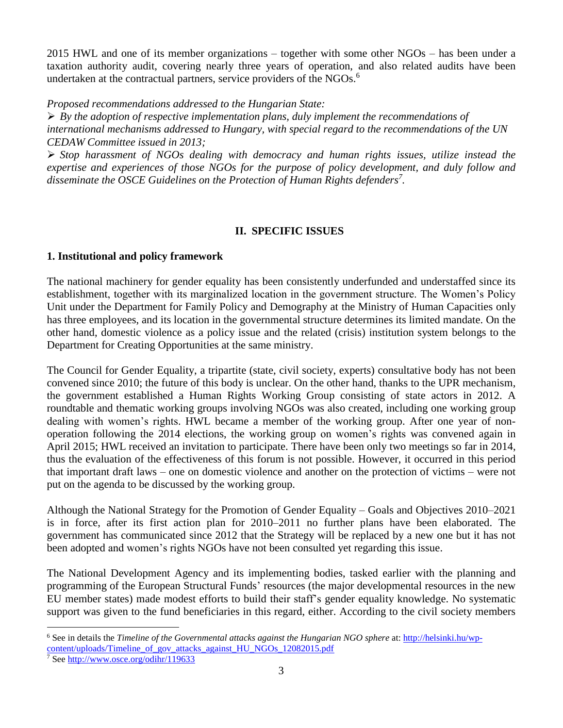2015 HWL and one of its member organizations – together with some other NGOs – has been under a taxation authority audit, covering nearly three years of operation, and also related audits have been undertaken at the contractual partners, service providers of the NGOs. 6

*Proposed recommendations addressed to the Hungarian State:*

 *By the adoption of respective implementation plans, duly implement the recommendations of international mechanisms addressed to Hungary, with special regard to the recommendations of the UN CEDAW Committee issued in 2013;*

 *Stop harassment of NGOs dealing with democracy and human rights issues, utilize instead the expertise and experiences of those NGOs for the purpose of policy development, and duly follow and disseminate the OSCE Guidelines on the Protection of Human Rights defenders<sup>7</sup> .*

## **II. SPECIFIC ISSUES**

## **1. Institutional and policy framework**

The national machinery for gender equality has been consistently underfunded and understaffed since its establishment, together with its marginalized location in the government structure. The Women's Policy Unit under the Department for Family Policy and Demography at the Ministry of Human Capacities only has three employees, and its location in the governmental structure determines its limited mandate. On the other hand, domestic violence as a policy issue and the related (crisis) institution system belongs to the Department for Creating Opportunities at the same ministry.

The Council for Gender Equality, a tripartite (state, civil society, experts) consultative body has not been convened since 2010; the future of this body is unclear. On the other hand, thanks to the UPR mechanism, the government established a Human Rights Working Group consisting of state actors in 2012. A roundtable and thematic working groups involving NGOs was also created, including one working group dealing with women's rights. HWL became a member of the working group. After one year of nonoperation following the 2014 elections, the working group on women's rights was convened again in April 2015; HWL received an invitation to participate. There have been only two meetings so far in 2014, thus the evaluation of the effectiveness of this forum is not possible. However, it occurred in this period that important draft laws – one on domestic violence and another on the protection of victims – were not put on the agenda to be discussed by the working group.

Although the National Strategy for the Promotion of Gender Equality – Goals and Objectives 2010–2021 is in force, after its first action plan for 2010–2011 no further plans have been elaborated. The government has communicated since 2012 that the Strategy will be replaced by a new one but it has not been adopted and women's rights NGOs have not been consulted yet regarding this issue.

The National Development Agency and its implementing bodies, tasked earlier with the planning and programming of the European Structural Funds' resources (the major developmental resources in the new EU member states) made modest efforts to build their staff's gender equality knowledge. No systematic support was given to the fund beneficiaries in this regard, either. According to the civil society members

 $\overline{a}$ 

<sup>6</sup> See in details the *Timeline of the Governmental attacks against the Hungarian NGO sphere* at[: http://helsinki.hu/wp](http://helsinki.hu/wp-content/uploads/Timeline_of_gov_attacks_against_HU_NGOs_12082015.pdf)[content/uploads/Timeline\\_of\\_gov\\_attacks\\_against\\_HU\\_NGOs\\_12082015.pdf](http://helsinki.hu/wp-content/uploads/Timeline_of_gov_attacks_against_HU_NGOs_12082015.pdf)

<sup>7</sup> Se[e http://www.osce.org/odihr/119633](http://www.osce.org/odihr/119633)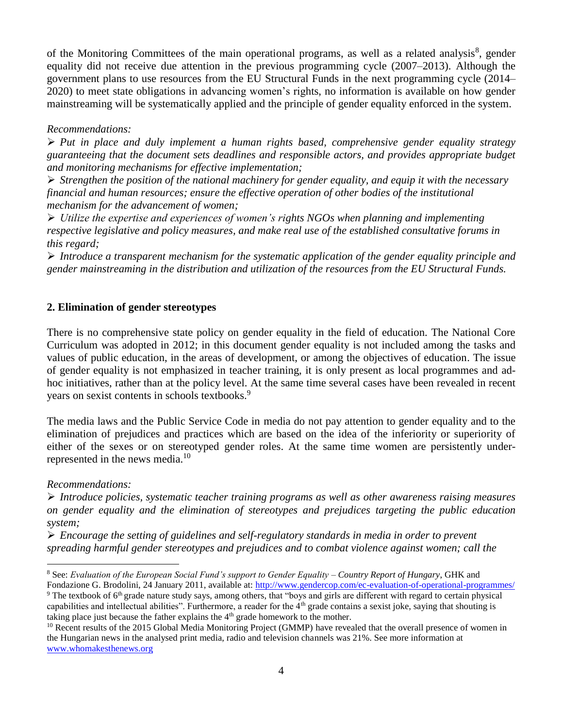of the Monitoring Committees of the main operational programs, as well as a related analysis<sup>8</sup>, gender equality did not receive due attention in the previous programming cycle (2007–2013). Although the government plans to use resources from the EU Structural Funds in the next programming cycle (2014– 2020) to meet state obligations in advancing women's rights, no information is available on how gender mainstreaming will be systematically applied and the principle of gender equality enforced in the system.

#### *Recommendations:*

 *Put in place and duly implement a human rights based, comprehensive gender equality strategy guaranteeing that the document sets deadlines and responsible actors, and provides appropriate budget and monitoring mechanisms for effective implementation;*

 *Strengthen the position of the national machinery for gender equality, and equip it with the necessary financial and human resources; ensure the effective operation of other bodies of the institutional mechanism for the advancement of women;*

 *Utilize the expertise and experiences of women's rights NGOs when planning and implementing respective legislative and policy measures, and make real use of the established consultative forums in this regard;* 

 *Introduce a transparent mechanism for the systematic application of the gender equality principle and gender mainstreaming in the distribution and utilization of the resources from the EU Structural Funds.*

## **2. Elimination of gender stereotypes**

There is no comprehensive state policy on gender equality in the field of education. The National Core Curriculum was adopted in 2012; in this document gender equality is not included among the tasks and values of public education, in the areas of development, or among the objectives of education. The issue of gender equality is not emphasized in teacher training, it is only present as local programmes and adhoc initiatives, rather than at the policy level. At the same time several cases have been revealed in recent years on sexist contents in schools textbooks.<sup>9</sup>

The media laws and the Public Service Code in media do not pay attention to gender equality and to the elimination of prejudices and practices which are based on the idea of the inferiority or superiority of either of the sexes or on stereotyped gender roles. At the same time women are persistently underrepresented in the news media.<sup>10</sup>

#### *Recommendations:*

 $\overline{a}$ 

 *Introduce policies, systematic teacher training programs as well as other awareness raising measures on gender equality and the elimination of stereotypes and prejudices targeting the public education system;*

 *Encourage the setting of guidelines and self-regulatory standards in media in order to prevent spreading harmful gender stereotypes and prejudices and to combat violence against women; call the* 

<sup>8</sup> See: *Evaluation of the European Social Fund's support to Gender Equality – Country Report of Hungary*, GHK and Fondazione G. Brodolini, 24 January 2011, available at:<http://www.gendercop.com/ec-evaluation-of-operational-programmes/>

 $9$  The textbook of 6<sup>th</sup> grade nature study says, among others, that "boys and girls are different with regard to certain physical capabilities and intellectual abilities". Furthermore, a reader for the 4<sup>th</sup> grade contains a sexist joke, saying that shouting is taking place just because the father explains the  $4<sup>th</sup>$  grade homework to the mother.

<sup>&</sup>lt;sup>10</sup> Recent results of the 2015 Global Media Monitoring Project (GMMP) have revealed that the overall presence of women in the Hungarian news in the analysed print media, radio and television channels was 21%. See more information at [www.whomakesthenews.org](http://www.whomakesthenews.org/)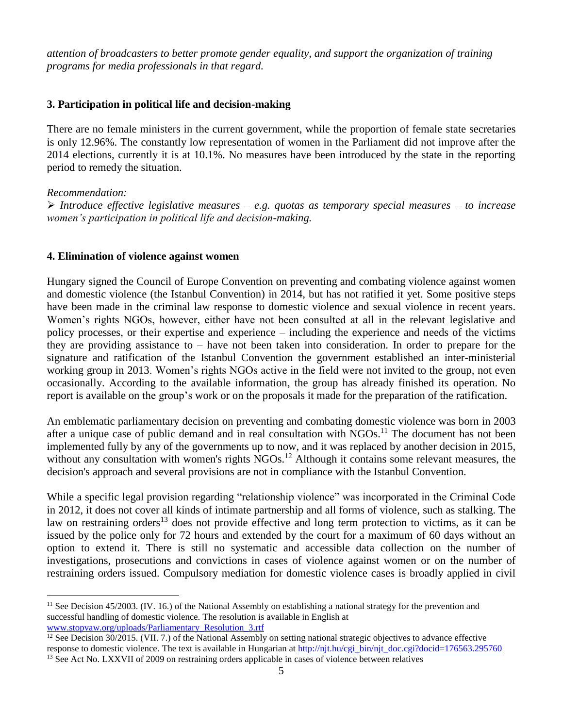*attention of broadcasters to better promote gender equality, and support the organization of training programs for media professionals in that regard.*

#### **3. Participation in political life and decision-making**

There are no female ministers in the current government, while the proportion of female state secretaries is only 12.96%. The constantly low representation of women in the Parliament did not improve after the 2014 elections, currently it is at 10.1%. No measures have been introduced by the state in the reporting period to remedy the situation.

#### *Recommendation:*

 $\overline{a}$ 

 *Introduce effective legislative measures – e.g. quotas as temporary special measures – to increase women's participation in political life and decision-making.*

## **4. Elimination of violence against women**

Hungary signed the Council of Europe Convention on preventing and combating violence against women and domestic violence (the Istanbul Convention) in 2014, but has not ratified it yet. Some positive steps have been made in the criminal law response to domestic violence and sexual violence in recent years. Women's rights NGOs, however, either have not been consulted at all in the relevant legislative and policy processes, or their expertise and experience – including the experience and needs of the victims they are providing assistance to – have not been taken into consideration. In order to prepare for the signature and ratification of the Istanbul Convention the government established an inter-ministerial working group in 2013. Women's rights NGOs active in the field were not invited to the group, not even occasionally. According to the available information, the group has already finished its operation. No report is available on the group's work or on the proposals it made for the preparation of the ratification.

An emblematic parliamentary decision on preventing and combating domestic violence was born in 2003 after a unique case of public demand and in real consultation with NGOs.<sup>11</sup> The document has not been implemented fully by any of the governments up to now, and it was replaced by another decision in 2015, without any consultation with women's rights NGOs.<sup>12</sup> Although it contains some relevant measures, the decision's approach and several provisions are not in compliance with the Istanbul Convention.

While a specific legal provision regarding "relationship violence" was incorporated in the Criminal Code in 2012, it does not cover all kinds of intimate partnership and all forms of violence, such as stalking. The law on restraining orders<sup>13</sup> does not provide effective and long term protection to victims, as it can be issued by the police only for 72 hours and extended by the court for a maximum of 60 days without an option to extend it. There is still no systematic and accessible data collection on the number of investigations, prosecutions and convictions in cases of violence against women or on the number of restraining orders issued. Compulsory mediation for domestic violence cases is broadly applied in civil

<sup>&</sup>lt;sup>11</sup> See Decision 45/2003. (IV. 16.) of the National Assembly on establishing a national strategy for the prevention and successful handling of domestic violence. The resolution is available in English at [www.stopvaw.org/uploads/Parliamentary\\_Resolution\\_3.rtf](http://www.stopvaw.org/uploads/Parliamentary_Resolution_3.rtf)

<sup>&</sup>lt;sup>12</sup> See Decision 30/2015. (VII. 7.) of the National Assembly on setting national strategic objectives to advance effective response to domestic violence. The text is available in Hungarian at [http://njt.hu/cgi\\_bin/njt\\_doc.cgi?docid=176563.295760](http://njt.hu/cgi_bin/njt_doc.cgi?docid=176563.295760) <sup>13</sup> See Act No. LXXVII of 2009 on restraining orders applicable in cases of violence between relatives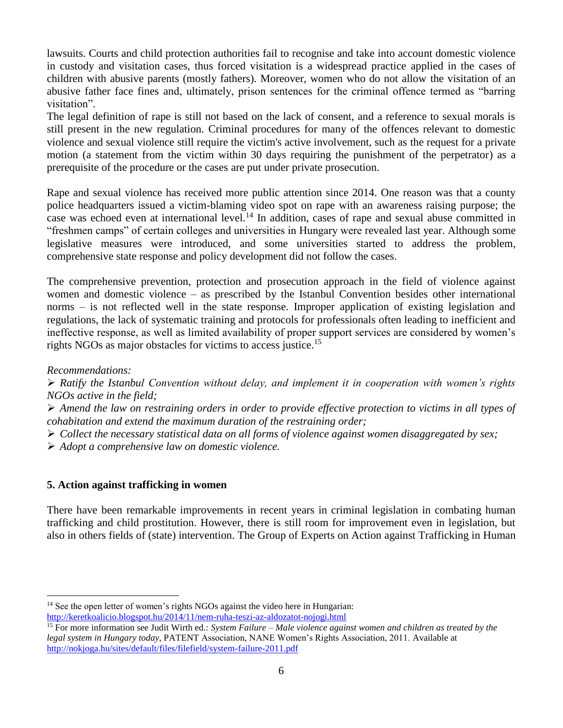lawsuits. Courts and child protection authorities fail to recognise and take into account domestic violence in custody and visitation cases, thus forced visitation is a widespread practice applied in the cases of children with abusive parents (mostly fathers). Moreover, women who do not allow the visitation of an abusive father face fines and, ultimately, prison sentences for the criminal offence termed as "barring visitation".

The legal definition of rape is still not based on the lack of consent, and a reference to sexual morals is still present in the new regulation. Criminal procedures for many of the offences relevant to domestic violence and sexual violence still require the victim's active involvement, such as the request for a private motion (a statement from the victim within 30 days requiring the punishment of the perpetrator) as a prerequisite of the procedure or the cases are put under private prosecution.

Rape and sexual violence has received more public attention since 2014. One reason was that a county police headquarters issued a victim-blaming video spot on rape with an awareness raising purpose; the case was echoed even at international level.<sup>14</sup> In addition, cases of rape and sexual abuse committed in "freshmen camps" of certain colleges and universities in Hungary were revealed last year. Although some legislative measures were introduced, and some universities started to address the problem, comprehensive state response and policy development did not follow the cases.

The comprehensive prevention, protection and prosecution approach in the field of violence against women and domestic violence – as prescribed by the Istanbul Convention besides other international norms – is not reflected well in the state response. Improper application of existing legislation and regulations, the lack of systematic training and protocols for professionals often leading to inefficient and ineffective response, as well as limited availability of proper support services are considered by women's rights NGOs as major obstacles for victims to access justice.<sup>15</sup>

*Recommendations:* 

 $\overline{a}$ 

 *Ratify the Istanbul Convention without delay, and implement it in cooperation with women's rights NGOs active in the field;*

 *Amend the law on restraining orders in order to provide effective protection to victims in all types of cohabitation and extend the maximum duration of the restraining order;*

*Collect the necessary statistical data on all forms of violence against women disaggregated by sex;*

*Adopt a comprehensive law on domestic violence.*

## **5. Action against trafficking in women**

There have been remarkable improvements in recent years in criminal legislation in combating human trafficking and child prostitution. However, there is still room for improvement even in legislation, but also in others fields of (state) intervention. The Group of Experts on Action against Trafficking in Human

<sup>&</sup>lt;sup>14</sup> See the open letter of women's rights NGOs against the video here in Hungarian: <http://keretkoalicio.blogspot.hu/2014/11/nem-ruha-teszi-az-aldozatot-nojogi.html>

<sup>15</sup> For more information see Judit Wirth ed.: *System Failure – Male violence against women and children as treated by the legal system in Hungary today*, PATENT Association, NANE Women's Rights Association, 2011. Available at <http://nokjoga.hu/sites/default/files/filefield/system-failure-2011.pdf>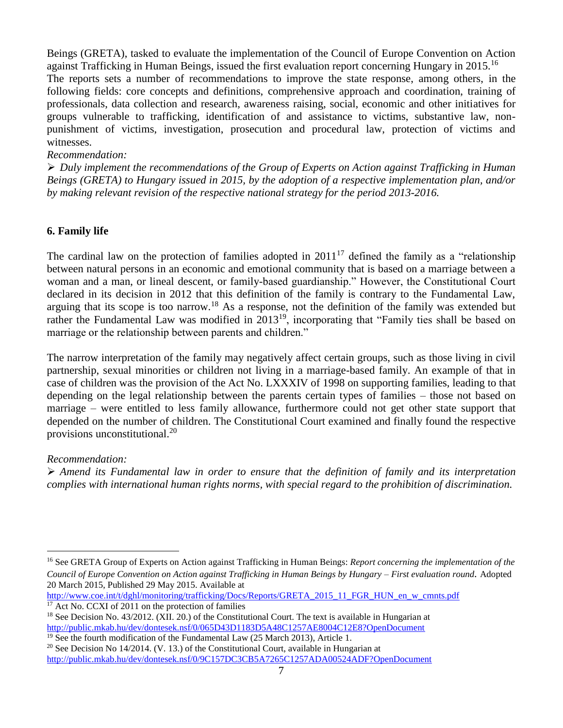Beings (GRETA), tasked to evaluate the implementation of the Council of Europe Convention on Action against Trafficking in Human Beings, issued the first evaluation report concerning Hungary in 2015.<sup>16</sup> The reports sets a number of recommendations to improve the state response, among others, in the following fields: core concepts and definitions, comprehensive approach and coordination, training of professionals, data collection and research, awareness raising, social, economic and other initiatives for groups vulnerable to trafficking, identification of and assistance to victims, substantive law, nonpunishment of victims, investigation, prosecution and procedural law, protection of victims and witnesses.

#### *Recommendation:*

 *Duly implement the recommendations of the Group of Experts on Action against Trafficking in Human Beings (GRETA) to Hungary issued in 2015, by the adoption of a respective implementation plan, and/or by making relevant revision of the respective national strategy for the period 2013-2016.* 

## **6. Family life**

The cardinal law on the protection of families adopted in  $2011^{17}$  defined the family as a "relationship" between natural persons in an economic and emotional community that is based on a marriage between a woman and a man, or lineal descent, or family-based guardianship." However, the Constitutional Court declared in its decision in 2012 that this definition of the family is contrary to the Fundamental Law, arguing that its scope is too narrow.<sup>18</sup> As a response, not the definition of the family was extended but rather the Fundamental Law was modified in 2013<sup>19</sup>, incorporating that "Family ties shall be based on marriage or the relationship between parents and children."

The narrow interpretation of the family may negatively affect certain groups, such as those living in civil partnership, sexual minorities or children not living in a marriage-based family. An example of that in case of children was the provision of the Act No. LXXXIV of 1998 on supporting families, leading to that depending on the legal relationship between the parents certain types of families – those not based on marriage – were entitled to less family allowance, furthermore could not get other state support that depended on the number of children. The Constitutional Court examined and finally found the respective provisions unconstitutional.<sup>20</sup>

## *Recommendation:*

 $\overline{a}$ 

 *Amend its Fundamental law in order to ensure that the definition of family and its interpretation complies with international human rights norms, with special regard to the prohibition of discrimination.*

<sup>16</sup> See GRETA Group of Experts on Action against Trafficking in Human Beings: *Report concerning the implementation of the Council of Europe Convention on Action against Trafficking in Human Beings by Hungary – First evaluation round.* Adopted 20 March 2015, Published 29 May 2015. Available at

http://www.coe.int/t/dghl/monitoring/trafficking/Docs/Reports/GRETA 2015 11 FGR HUN en w cmnts.pdf <sup>17</sup> Act No. CCXI of 2011 on the protection of families

<sup>&</sup>lt;sup>18</sup> See Decision No. 43/2012. (XII. 20.) of the Constitutional Court. The text is available in Hungarian at <http://public.mkab.hu/dev/dontesek.nsf/0/065D43D1183D5A48C1257AE8004C12E8?OpenDocument>

<sup>&</sup>lt;sup>19</sup> See the fourth modification of the Fundamental Law  $(25$  March 2013), Article 1.

<sup>&</sup>lt;sup>20</sup> See Decision No 14/2014. (V. 13.) of the Constitutional Court, available in Hungarian at <http://public.mkab.hu/dev/dontesek.nsf/0/9C157DC3CB5A7265C1257ADA00524ADF?OpenDocument>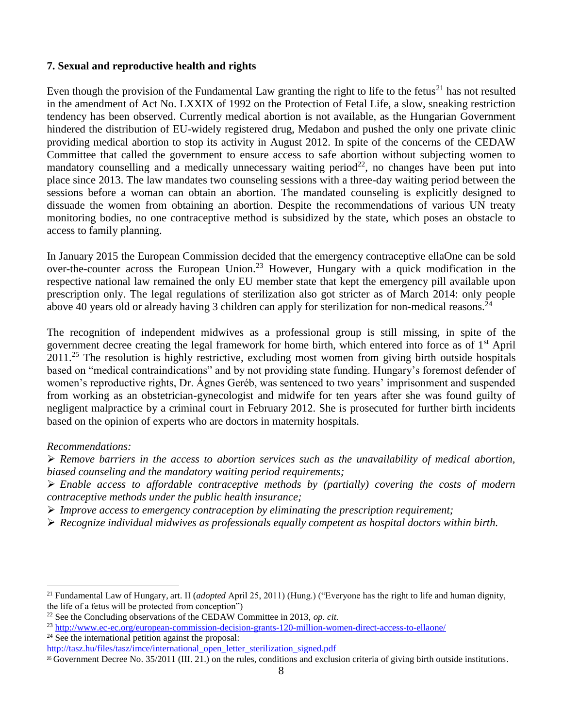## **7. Sexual and reproductive health and rights**

Even though the provision of the Fundamental Law granting the right to life to the fetus<sup>21</sup> has not resulted in the amendment of Act No. LXXIX of 1992 on the Protection of Fetal Life, a slow, sneaking restriction tendency has been observed. Currently medical abortion is not available, as the Hungarian Government hindered the distribution of EU-widely registered drug, Medabon and pushed the only one private clinic providing medical abortion to stop its activity in August 2012. In spite of the concerns of the CEDAW Committee that called the government to ensure access to safe abortion without subjecting women to mandatory counselling and a medically unnecessary waiting period<sup>22</sup>, no changes have been put into place since 2013. The law mandates two counseling sessions with a three-day waiting period between the sessions before a woman can obtain an abortion. The mandated counseling is explicitly designed to dissuade the women from obtaining an abortion. Despite the recommendations of various UN treaty monitoring bodies, no one contraceptive method is subsidized by the state, which poses an obstacle to access to family planning.

In January 2015 the European Commission decided that the emergency contraceptive ellaOne can be sold over-the-counter across the European Union.<sup>23</sup> However, Hungary with a quick modification in the respective national law remained the only EU member state that kept the emergency pill available upon prescription only. The legal regulations of sterilization also got stricter as of March 2014: only people above 40 years old or already having 3 children can apply for sterilization for non-medical reasons.<sup>24</sup>

The recognition of independent midwives as a professional group is still missing, in spite of the government decree creating the legal framework for home birth, which entered into force as of 1st April 2011.<sup>25</sup> The resolution is highly restrictive, excluding most women from giving birth outside hospitals based on "medical contraindications" and by not providing state funding. Hungary's foremost defender of women's reproductive rights, Dr. Ágnes Geréb, was sentenced to two years' imprisonment and suspended from working as an obstetrician-gynecologist and midwife for ten years after she was found guilty of negligent malpractice by a criminal court in February 2012. She is prosecuted for further birth incidents based on the opinion of experts who are doctors in maternity hospitals.

*Recommendations:*

 $\overline{a}$ 

 *Remove barriers in the access to abortion services such as the unavailability of medical abortion, biased counseling and the mandatory waiting period requirements;*

 *Enable access to affordable contraceptive methods by (partially) covering the costs of modern contraceptive methods under the public health insurance;*

- *Improve access to emergency contraception by eliminating the prescription requirement;*
- *Recognize individual midwives as professionals equally competent as hospital doctors within birth.*

 $24$  See the international petition against the proposal:

<sup>21</sup> Fundamental Law of Hungary, art. II (*adopted* April 25, 2011) (Hung.) ("Everyone has the right to life and human dignity, the life of a fetus will be protected from conception")

<sup>22</sup> See the Concluding observations of the CEDAW Committee in 2013, *op. cit.*

<sup>23</sup> <http://www.ec-ec.org/european-commission-decision-grants-120-million-women-direct-access-to-ellaone/>

[http://tasz.hu/files/tasz/imce/international\\_open\\_letter\\_sterilization\\_signed.pdf](http://tasz.hu/files/tasz/imce/international_open_letter_sterilization_signed.pdf)

 $^{25}$  Government Decree No. 35/2011 (III. 21.) on the rules, conditions and exclusion criteria of giving birth outside institutions.